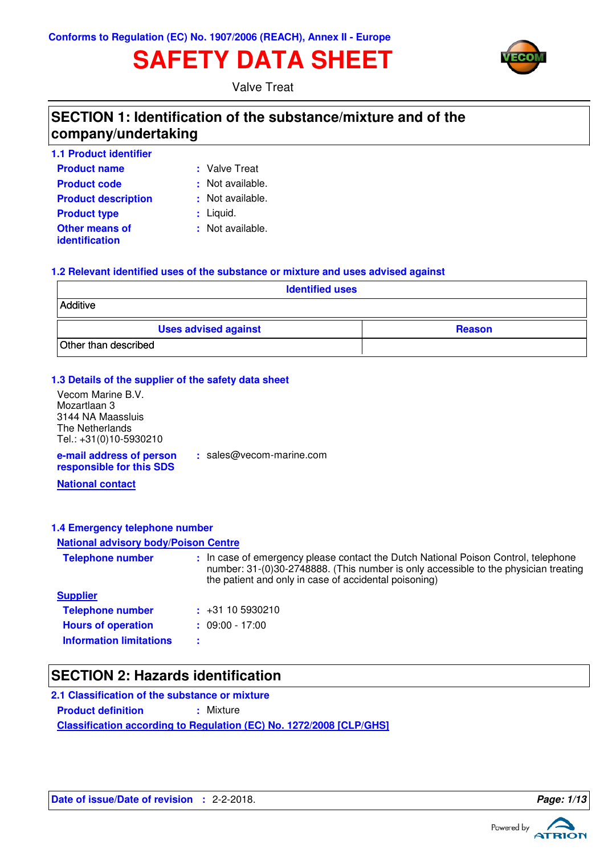# **SAFETY DATA SHEET**



Valve Treat

## **SECTION 1: Identification of the substance/mixture and of the company/undertaking**

| <b>1.1 Product identifier</b>                  |                  |
|------------------------------------------------|------------------|
| <b>Product name</b>                            | : Valve Treat    |
| <b>Product code</b>                            | : Not available. |
| <b>Product description</b>                     | : Not available. |
| <b>Product type</b>                            | : Liquid.        |
| <b>Other means of</b><br><b>identification</b> | : Not available. |

### at:

- 
- 
- 

### **1.2 Relevant identified uses of the substance or mixture and uses advised against**

| <b>Identified uses</b>      |               |  |  |
|-----------------------------|---------------|--|--|
| Additive                    |               |  |  |
| <b>Uses advised against</b> | <b>Reason</b> |  |  |
| Other than described        |               |  |  |

### **1.3 Details of the supplier of the safety data sheet**

Vecom Marine B.V. Mozartlaan 3 3144 NA Maassluis The Netherlands Tel.: +31(0)10-5930210

**e-mail address of person responsible for this SDS :** sales@vecom-marine.com

**National contact**

### **1.4 Emergency telephone number**

### **National advisory body/Poison Centre**

| <b>Telephone number</b>        | : In case of emergency please contact the Dutch National Poison Control, telephone<br>number: 31-(0)30-2748888. (This number is only accessible to the physician treating<br>the patient and only in case of accidental poisoning) |
|--------------------------------|------------------------------------------------------------------------------------------------------------------------------------------------------------------------------------------------------------------------------------|
| <b>Supplier</b>                |                                                                                                                                                                                                                                    |
| <b>Telephone number</b>        | $\div$ +31 10 5930210                                                                                                                                                                                                              |
| <b>Hours of operation</b>      | $: 09:00 - 17:00$                                                                                                                                                                                                                  |
| <b>Information limitations</b> |                                                                                                                                                                                                                                    |

## **SECTION 2: Hazards identification**

**Classification according to Regulation (EC) No. 1272/2008 [CLP/GHS] 2.1 Classification of the substance or mixture Product definition : Mixture** 

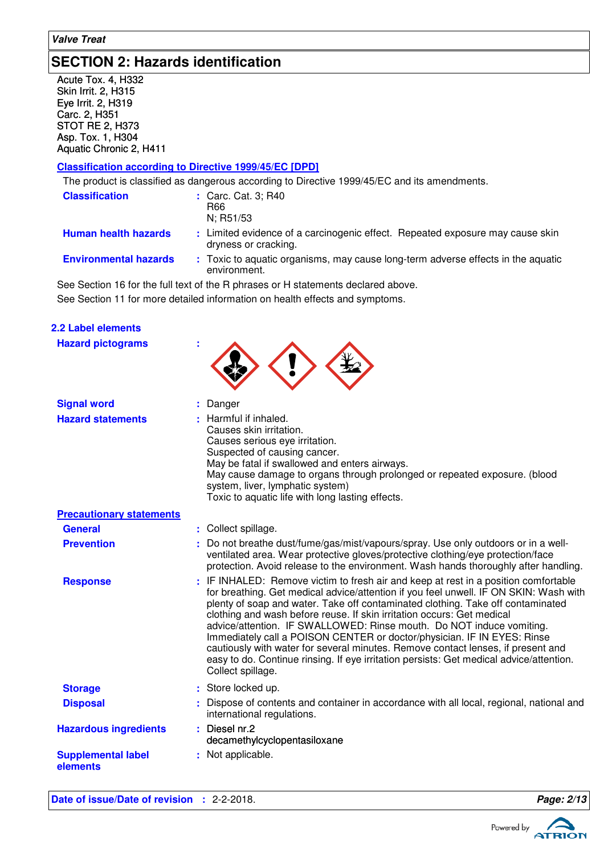## **SECTION 2: Hazards identification**

Acute Tox. 4, H332 Skin Irrit. 2, H315 Eye Irrit. 2, H319 Carc. 2, H351 STOT RE 2, H373 Asp. Tox. 1, H304 Aquatic Chronic 2, H411

### **Classification according to Directive 1999/45/EC [DPD]**

The product is classified as dangerous according to Directive 1999/45/EC and its amendments.

|                                 | The product is classified as darigerous according to Directive 1999/45/EC and its afflementents.                                                                                                                                                                                                                                                                                                                  |
|---------------------------------|-------------------------------------------------------------------------------------------------------------------------------------------------------------------------------------------------------------------------------------------------------------------------------------------------------------------------------------------------------------------------------------------------------------------|
| <b>Classification</b>           | : Carc. Cat. 3; R40<br>R66<br>N; R51/53                                                                                                                                                                                                                                                                                                                                                                           |
| <b>Human health hazards</b>     | : Limited evidence of a carcinogenic effect. Repeated exposure may cause skin<br>dryness or cracking.                                                                                                                                                                                                                                                                                                             |
| <b>Environmental hazards</b>    | : Toxic to aquatic organisms, may cause long-term adverse effects in the aquatic<br>environment.                                                                                                                                                                                                                                                                                                                  |
|                                 | See Section 16 for the full text of the R phrases or H statements declared above.                                                                                                                                                                                                                                                                                                                                 |
|                                 | See Section 11 for more detailed information on health effects and symptoms.                                                                                                                                                                                                                                                                                                                                      |
| 2.2 Label elements              |                                                                                                                                                                                                                                                                                                                                                                                                                   |
| <b>Hazard pictograms</b>        |                                                                                                                                                                                                                                                                                                                                                                                                                   |
| <b>Signal word</b>              | Danger                                                                                                                                                                                                                                                                                                                                                                                                            |
| <b>Hazard statements</b>        | : Harmful if inhaled.<br>Causes skin irritation.<br>Causes serious eye irritation.<br>Suspected of causing cancer.<br>May be fatal if swallowed and enters airways.<br>May cause damage to organs through prolonged or repeated exposure. (blood<br>system, liver, lymphatic system)<br>Toxic to aquatic life with long lasting effects.                                                                          |
| <b>Precautionary statements</b> |                                                                                                                                                                                                                                                                                                                                                                                                                   |
| <b>General</b>                  | : Collect spillage.                                                                                                                                                                                                                                                                                                                                                                                               |
| <b>Prevention</b>               | Do not breathe dust/fume/gas/mist/vapours/spray. Use only outdoors or in a well-<br>ventilated area. Wear protective gloves/protective clothing/eye protection/face<br>protection. Avoid release to the environment. Wash hands thoroughly after handling.                                                                                                                                                        |
| <b>Response</b>                 | : IF INHALED: Remove victim to fresh air and keep at rest in a position comfortable<br>for breathing. Get medical advice/attention if you feel unwell. IF ON SKIN: Wash with<br>plenty of soap and water. Take off contaminated clothing. Take off contaminated<br>clothing and wash before reuse. If skin irritation occurs: Get medical<br>advice/attention. IF SWALLOWED: Rinse mouth. Do NOT induce vomiting. |

Immediately call a POISON CENTER or doctor/physician. IF IN EYES: Rinse cautiously with water for several minutes. Remove contact lenses, if present and easy to do. Continue rinsing. If eye irritation persists: Get medical advice/attention. Collect spillage.

- **Storage :** : Store locked up.
	- Dispose of contents and container in accordance with all local, regional, national and international regulations.
- **Hazardous ingredients :** Diesel nr.2 decamethylcyclopentasiloxane **Supplemental label elements :** Not applicable.

**Disposal :**

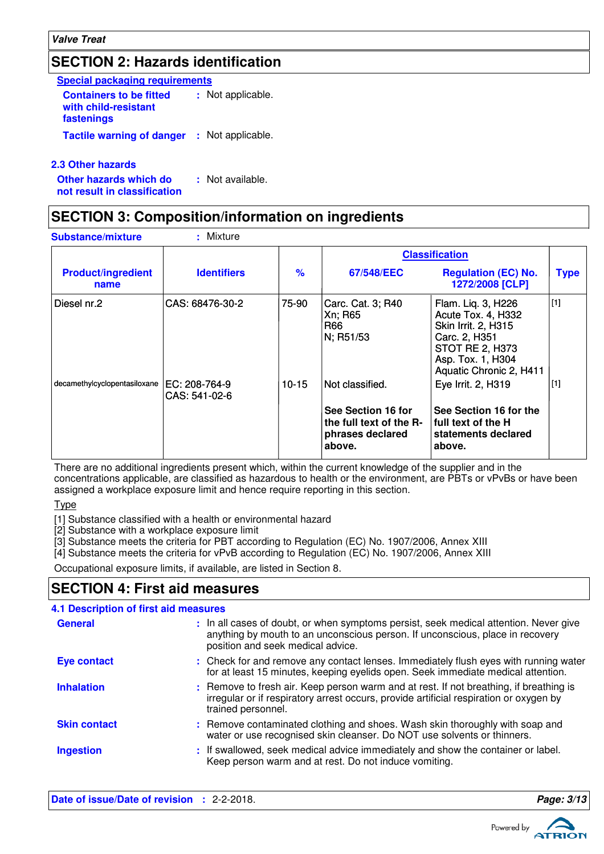## **SECTION 2: Hazards identification**

| <b>Special packaging requirements</b>                                |  |                   |  |  |
|----------------------------------------------------------------------|--|-------------------|--|--|
| <b>Containers to be fitted</b><br>with child-resistant<br>fastenings |  | : Not applicable. |  |  |
| <b>Tactile warning of danger</b>                                     |  | : Not applicable. |  |  |

**2.3 Other hazards**

**Other hazards which do : not result in classification** : Not available.

## **SECTION 3: Composition/information on ingredients**

| <b>Substance/mixture</b>          | : Mixture                       |               |                                                                                                |                                                                                                                                                                   |             |
|-----------------------------------|---------------------------------|---------------|------------------------------------------------------------------------------------------------|-------------------------------------------------------------------------------------------------------------------------------------------------------------------|-------------|
|                                   |                                 |               | <b>Classification</b>                                                                          |                                                                                                                                                                   |             |
| <b>Product/ingredient</b><br>name | <b>Identifiers</b>              | $\frac{9}{6}$ | 67/548/EEC                                                                                     | <b>Regulation (EC) No.</b><br>1272/2008 [CLP]                                                                                                                     | <b>Type</b> |
| l Diesel nr.2                     | CAS: 68476-30-2                 | 75-90         | Carc. Cat. 3; R40<br>Xn; R65<br>R66<br>N; R51/53                                               | Flam. Liq. 3, H226<br>Acute Tox. 4, H332<br><b>Skin Irrit. 2, H315</b><br>Carc. 2, H351<br><b>STOT RE 2, H373</b><br>Asp. Tox. 1, H304<br>Aquatic Chronic 2, H411 | $[1]$       |
| decamethylcyclopentasiloxane      | IEC: 208-764-9<br>CAS: 541-02-6 | $10 - 15$     | Not classified.<br>See Section 16 for<br>the full text of the R-<br>phrases declared<br>above. | Eye Irrit. 2, H319<br>See Section 16 for the<br>full text of the H<br>statements declared<br>above.                                                               | [1]         |

There are no additional ingredients present which, within the current knowledge of the supplier and in the concentrations applicable, are classified as hazardous to health or the environment, are PBTs or vPvBs or have been assigned a workplace exposure limit and hence require reporting in this section.

Type

[1] Substance classified with a health or environmental hazard

[2] Substance with a workplace exposure limit

[3] Substance meets the criteria for PBT according to Regulation (EC) No. 1907/2006, Annex XIII

[4] Substance meets the criteria for vPvB according to Regulation (EC) No. 1907/2006, Annex XIII

Occupational exposure limits, if available, are listed in Section 8.

## **SECTION 4: First aid measures**

| <b>4.1 Description of first aid measures</b> |                                                                                                                                                                                                             |
|----------------------------------------------|-------------------------------------------------------------------------------------------------------------------------------------------------------------------------------------------------------------|
| <b>General</b>                               | : In all cases of doubt, or when symptoms persist, seek medical attention. Never give<br>anything by mouth to an unconscious person. If unconscious, place in recovery<br>position and seek medical advice. |
| <b>Eye contact</b>                           | : Check for and remove any contact lenses. Immediately flush eyes with running water<br>for at least 15 minutes, keeping eyelids open. Seek immediate medical attention.                                    |
| <b>Inhalation</b>                            | : Remove to fresh air. Keep person warm and at rest. If not breathing, if breathing is<br>irregular or if respiratory arrest occurs, provide artificial respiration or oxygen by<br>trained personnel.      |
| <b>Skin contact</b>                          | : Remove contaminated clothing and shoes. Wash skin thoroughly with soap and<br>water or use recognised skin cleanser. Do NOT use solvents or thinners.                                                     |
| <b>Ingestion</b>                             | : If swallowed, seek medical advice immediately and show the container or label.<br>Keep person warm and at rest. Do not induce vomiting.                                                                   |

**Date of issue/Date of revision :** 2-2-2018. **Page: 3/13**

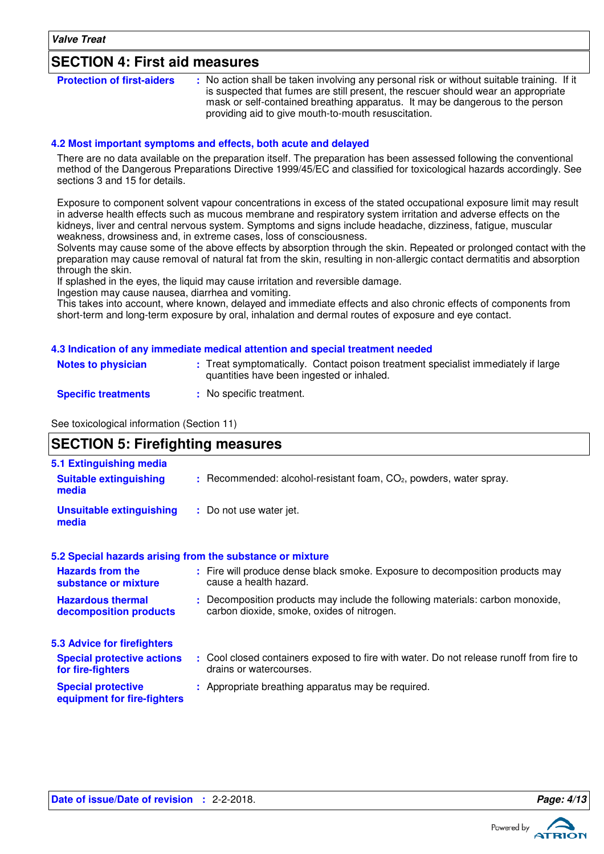### **SECTION 4: First aid measures**

| <b>Protection of first-aiders</b> | : No action shall be taken involving any personal risk or without suitable training. If it |
|-----------------------------------|--------------------------------------------------------------------------------------------|
|                                   | is suspected that fumes are still present, the rescuer should wear an appropriate          |
|                                   | mask or self-contained breathing apparatus. It may be dangerous to the person              |
|                                   | providing aid to give mouth-to-mouth resuscitation.                                        |

### **4.2 Most important symptoms and effects, both acute and delayed**

There are no data available on the preparation itself. The preparation has been assessed following the conventional method of the Dangerous Preparations Directive 1999/45/EC and classified for toxicological hazards accordingly. See sections 3 and 15 for details.

Exposure to component solvent vapour concentrations in excess of the stated occupational exposure limit may result in adverse health effects such as mucous membrane and respiratory system irritation and adverse effects on the kidneys, liver and central nervous system. Symptoms and signs include headache, dizziness, fatigue, muscular weakness, drowsiness and, in extreme cases, loss of consciousness.

Solvents may cause some of the above effects by absorption through the skin. Repeated or prolonged contact with the preparation may cause removal of natural fat from the skin, resulting in non-allergic contact dermatitis and absorption through the skin.

If splashed in the eyes, the liquid may cause irritation and reversible damage.

Ingestion may cause nausea, diarrhea and vomiting.

This takes into account, where known, delayed and immediate effects and also chronic effects of components from short-term and long-term exposure by oral, inhalation and dermal routes of exposure and eye contact.

#### **4.3 Indication of any immediate medical attention and special treatment needed**

| <b>Notes to physician</b>  | : Treat symptomatically. Contact poison treatment specialist immediately if large<br>quantities have been ingested or inhaled. |
|----------------------------|--------------------------------------------------------------------------------------------------------------------------------|
| <b>Specific treatments</b> | : No specific treatment.                                                                                                       |

See toxicological information (Section 11)

### **SECTION 5: Firefighting measures**

| 5.1 Extinguishing media                                  |                                                                                                                              |
|----------------------------------------------------------|------------------------------------------------------------------------------------------------------------------------------|
| <b>Suitable extinguishing</b><br>media                   | $:$ Recommended: alcohol-resistant foam, $CO2$ , powders, water spray.                                                       |
| <b>Unsuitable extinguishing</b><br>media                 | : Do not use water jet.                                                                                                      |
|                                                          | 5.2 Special hazards arising from the substance or mixture                                                                    |
| <b>Hazards from the</b><br>substance or mixture          | : Fire will produce dense black smoke. Exposure to decomposition products may<br>cause a health hazard.                      |
| <b>Hazardous thermal</b><br>decomposition products       | : Decomposition products may include the following materials: carbon monoxide,<br>carbon dioxide, smoke, oxides of nitrogen. |
| 5.3 Advice for firefighters                              |                                                                                                                              |
| <b>Special protective actions</b><br>for fire-fighters   | : Cool closed containers exposed to fire with water. Do not release runoff from fire to<br>drains or watercourses.           |
| <b>Special protective</b><br>equipment for fire-fighters | : Appropriate breathing apparatus may be required.                                                                           |

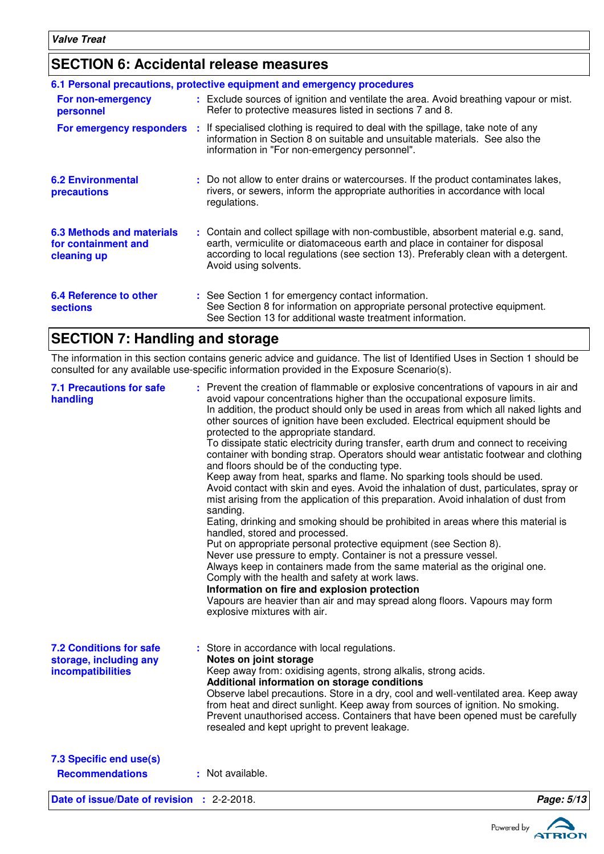## **SECTION 6: Accidental release measures**

|                                                                        | 6.1 Personal precautions, protective equipment and emergency procedures                                                                                                                                                                                                            |
|------------------------------------------------------------------------|------------------------------------------------------------------------------------------------------------------------------------------------------------------------------------------------------------------------------------------------------------------------------------|
| For non-emergency<br>personnel                                         | : Exclude sources of ignition and ventilate the area. Avoid breathing vapour or mist.<br>Refer to protective measures listed in sections 7 and 8.                                                                                                                                  |
| For emergency responders                                               | : If specialised clothing is required to deal with the spillage, take note of any<br>information in Section 8 on suitable and unsuitable materials. See also the<br>information in "For non-emergency personnel".                                                                  |
| <b>6.2 Environmental</b><br>precautions                                | : Do not allow to enter drains or watercourses. If the product contaminates lakes,<br>rivers, or sewers, inform the appropriate authorities in accordance with local<br>regulations.                                                                                               |
| <b>6.3 Methods and materials</b><br>for containment and<br>cleaning up | : Contain and collect spillage with non-combustible, absorbent material e.g. sand,<br>earth, vermiculite or diatomaceous earth and place in container for disposal<br>according to local regulations (see section 13). Preferably clean with a detergent.<br>Avoid using solvents. |
| <b>6.4 Reference to other</b><br><b>sections</b>                       | : See Section 1 for emergency contact information.<br>See Section 8 for information on appropriate personal protective equipment.<br>See Section 13 for additional waste treatment information.                                                                                    |

## **SECTION 7: Handling and storage**

The information in this section contains generic advice and guidance. The list of Identified Uses in Section 1 should be consulted for any available use-specific information provided in the Exposure Scenario(s).

| <b>7.1 Precautions for safe</b><br>handling                                   | : Prevent the creation of flammable or explosive concentrations of vapours in air and<br>avoid vapour concentrations higher than the occupational exposure limits.<br>In addition, the product should only be used in areas from which all naked lights and<br>other sources of ignition have been excluded. Electrical equipment should be<br>protected to the appropriate standard.<br>To dissipate static electricity during transfer, earth drum and connect to receiving<br>container with bonding strap. Operators should wear antistatic footwear and clothing<br>and floors should be of the conducting type.<br>Keep away from heat, sparks and flame. No sparking tools should be used.<br>Avoid contact with skin and eyes. Avoid the inhalation of dust, particulates, spray or<br>mist arising from the application of this preparation. Avoid inhalation of dust from<br>sanding.<br>Eating, drinking and smoking should be prohibited in areas where this material is<br>handled, stored and processed.<br>Put on appropriate personal protective equipment (see Section 8).<br>Never use pressure to empty. Container is not a pressure vessel. |            |
|-------------------------------------------------------------------------------|-----------------------------------------------------------------------------------------------------------------------------------------------------------------------------------------------------------------------------------------------------------------------------------------------------------------------------------------------------------------------------------------------------------------------------------------------------------------------------------------------------------------------------------------------------------------------------------------------------------------------------------------------------------------------------------------------------------------------------------------------------------------------------------------------------------------------------------------------------------------------------------------------------------------------------------------------------------------------------------------------------------------------------------------------------------------------------------------------------------------------------------------------------------------|------------|
|                                                                               | Always keep in containers made from the same material as the original one.<br>Comply with the health and safety at work laws.<br>Information on fire and explosion protection<br>Vapours are heavier than air and may spread along floors. Vapours may form<br>explosive mixtures with air.                                                                                                                                                                                                                                                                                                                                                                                                                                                                                                                                                                                                                                                                                                                                                                                                                                                                     |            |
| <b>7.2 Conditions for safe</b><br>storage, including any<br>incompatibilities | : Store in accordance with local regulations.<br>Notes on joint storage<br>Keep away from: oxidising agents, strong alkalis, strong acids.<br>Additional information on storage conditions<br>Observe label precautions. Store in a dry, cool and well-ventilated area. Keep away<br>from heat and direct sunlight. Keep away from sources of ignition. No smoking.<br>Prevent unauthorised access. Containers that have been opened must be carefully<br>resealed and kept upright to prevent leakage.                                                                                                                                                                                                                                                                                                                                                                                                                                                                                                                                                                                                                                                         |            |
| 7.3 Specific end use(s)<br><b>Recommendations</b>                             | : Not available.                                                                                                                                                                                                                                                                                                                                                                                                                                                                                                                                                                                                                                                                                                                                                                                                                                                                                                                                                                                                                                                                                                                                                |            |
| Date of issue/Date of revision : 2-2-2018.                                    |                                                                                                                                                                                                                                                                                                                                                                                                                                                                                                                                                                                                                                                                                                                                                                                                                                                                                                                                                                                                                                                                                                                                                                 | Page: 5/13 |

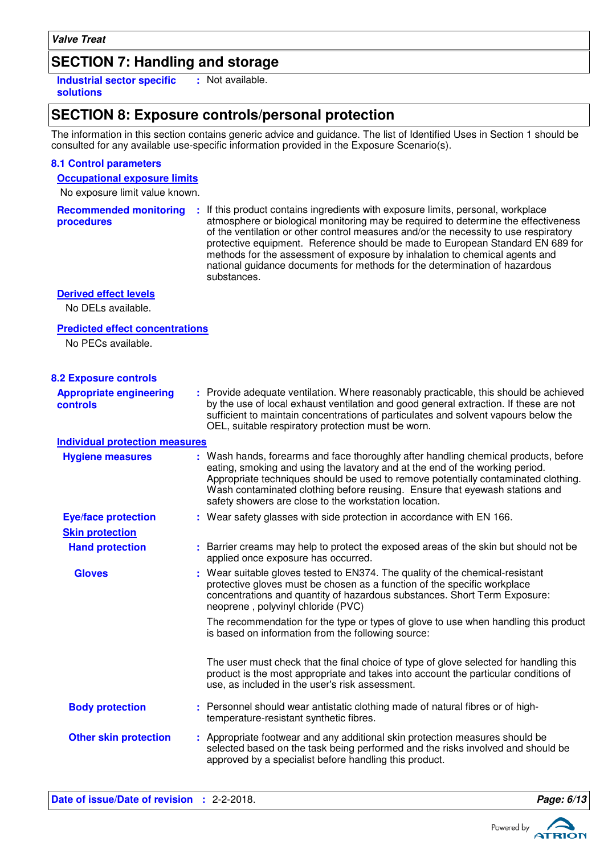## **SECTION 7: Handling and storage**

**Industrial sector specific : solutions** : Not available.

## **SECTION 8: Exposure controls/personal protection**

The information in this section contains generic advice and guidance. The list of Identified Uses in Section 1 should be consulted for any available use-specific information provided in the Exposure Scenario(s).

### **8.1 Control parameters**

### **Occupational exposure limits**

No exposure limit value known.

| <b>Recommended monitoring</b><br>procedures                                       | : If this product contains ingredients with exposure limits, personal, workplace<br>atmosphere or biological monitoring may be required to determine the effectiveness<br>of the ventilation or other control measures and/or the necessity to use respiratory<br>protective equipment. Reference should be made to European Standard EN 689 for<br>methods for the assessment of exposure by inhalation to chemical agents and<br>national guidance documents for methods for the determination of hazardous<br>substances. |
|-----------------------------------------------------------------------------------|------------------------------------------------------------------------------------------------------------------------------------------------------------------------------------------------------------------------------------------------------------------------------------------------------------------------------------------------------------------------------------------------------------------------------------------------------------------------------------------------------------------------------|
| <b>Derived effect levels</b><br>No DELs available.                                |                                                                                                                                                                                                                                                                                                                                                                                                                                                                                                                              |
| <b>Predicted effect concentrations</b><br>No PECs available.                      |                                                                                                                                                                                                                                                                                                                                                                                                                                                                                                                              |
| <b>8.2 Exposure controls</b><br><b>Appropriate engineering</b><br><b>controls</b> | : Provide adequate ventilation. Where reasonably practicable, this should be achieved<br>by the use of local exhaust ventilation and good general extraction. If these are not<br>sufficient to maintain concentrations of particulates and solvent vapours below the<br>OEL, suitable respiratory protection must be worn.                                                                                                                                                                                                  |
| <b>Individual protection measures</b>                                             |                                                                                                                                                                                                                                                                                                                                                                                                                                                                                                                              |
| <b>Hygiene measures</b>                                                           | : Wash hands, forearms and face thoroughly after handling chemical products, before<br>eating, smoking and using the lavatory and at the end of the working period.<br>Appropriate techniques should be used to remove potentially contaminated clothing.<br>Wash contaminated clothing before reusing. Ensure that eyewash stations and<br>safety showers are close to the workstation location.                                                                                                                            |
| <b>Eye/face protection</b>                                                        | : Wear safety glasses with side protection in accordance with EN 166.                                                                                                                                                                                                                                                                                                                                                                                                                                                        |
| <b>Skin protection</b>                                                            |                                                                                                                                                                                                                                                                                                                                                                                                                                                                                                                              |
| <b>Hand protection</b>                                                            | : Barrier creams may help to protect the exposed areas of the skin but should not be<br>applied once exposure has occurred.                                                                                                                                                                                                                                                                                                                                                                                                  |
| <b>Gloves</b>                                                                     | : Wear suitable gloves tested to EN374. The quality of the chemical-resistant<br>protective gloves must be chosen as a function of the specific workplace<br>concentrations and quantity of hazardous substances. Short Term Exposure:<br>neoprene, polyvinyl chloride (PVC)                                                                                                                                                                                                                                                 |
|                                                                                   | The recommendation for the type or types of glove to use when handling this product<br>is based on information from the following source:                                                                                                                                                                                                                                                                                                                                                                                    |
|                                                                                   | The user must check that the final choice of type of glove selected for handling this<br>product is the most appropriate and takes into account the particular conditions of<br>use, as included in the user's risk assessment.                                                                                                                                                                                                                                                                                              |
| <b>Body protection</b>                                                            | : Personnel should wear antistatic clothing made of natural fibres or of high-<br>temperature-resistant synthetic fibres.                                                                                                                                                                                                                                                                                                                                                                                                    |
| <b>Other skin protection</b>                                                      | : Appropriate footwear and any additional skin protection measures should be<br>selected based on the task being performed and the risks involved and should be<br>approved by a specialist before handling this product.                                                                                                                                                                                                                                                                                                    |

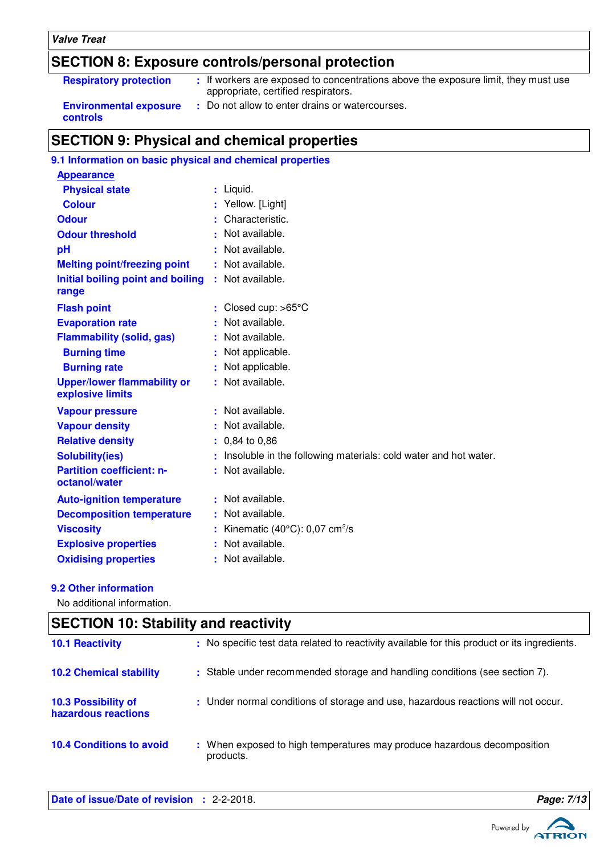### **Valve Treat**

## **SECTION 8: Exposure controls/personal protection**

| <b>Respiratory protection</b>                    | : If workers are exposed to concentrations above the exposure limit, they must use<br>appropriate, certified respirators. |
|--------------------------------------------------|---------------------------------------------------------------------------------------------------------------------------|
| <b>Environmental exposure</b><br><b>controls</b> | : Do not allow to enter drains or watercourses.                                                                           |

## **SECTION 9: Physical and chemical properties**

## **9.1 Information on basic physical and chemical properties**

| : Liquid.                                                       |
|-----------------------------------------------------------------|
| : Yellow. [Light]                                               |
| Characteristic.                                                 |
| Not available.                                                  |
| Not available.                                                  |
| Not available.                                                  |
| : Not available.                                                |
| Closed cup: >65°C                                               |
| Not available.                                                  |
| Not available.                                                  |
| Not applicable.                                                 |
| Not applicable.                                                 |
| : Not available.                                                |
| : Not available.                                                |
| Not available.                                                  |
| 0,84 to 0,86                                                    |
| Insoluble in the following materials: cold water and hot water. |
| Not available.                                                  |
| Not available.                                                  |
| Not available.                                                  |
| Kinematic $(40^{\circ}C)$ : 0,07 cm <sup>2</sup> /s             |
| Not available.                                                  |
| : Not available.                                                |
| ÷.<br>÷.<br>t.<br>÷.                                            |

### **9.2 Other information**

No additional information.

| <b>SECTION 10: Stability and reactivity</b> |                                                                                              |  |  |  |
|---------------------------------------------|----------------------------------------------------------------------------------------------|--|--|--|
| <b>10.1 Reactivity</b>                      | : No specific test data related to reactivity available for this product or its ingredients. |  |  |  |
| <b>10.2 Chemical stability</b>              | : Stable under recommended storage and handling conditions (see section 7).                  |  |  |  |
| 10.3 Possibility of<br>hazardous reactions  | : Under normal conditions of storage and use, hazardous reactions will not occur.            |  |  |  |
| <b>10.4 Conditions to avoid</b>             | : When exposed to high temperatures may produce hazardous decomposition<br>products.         |  |  |  |



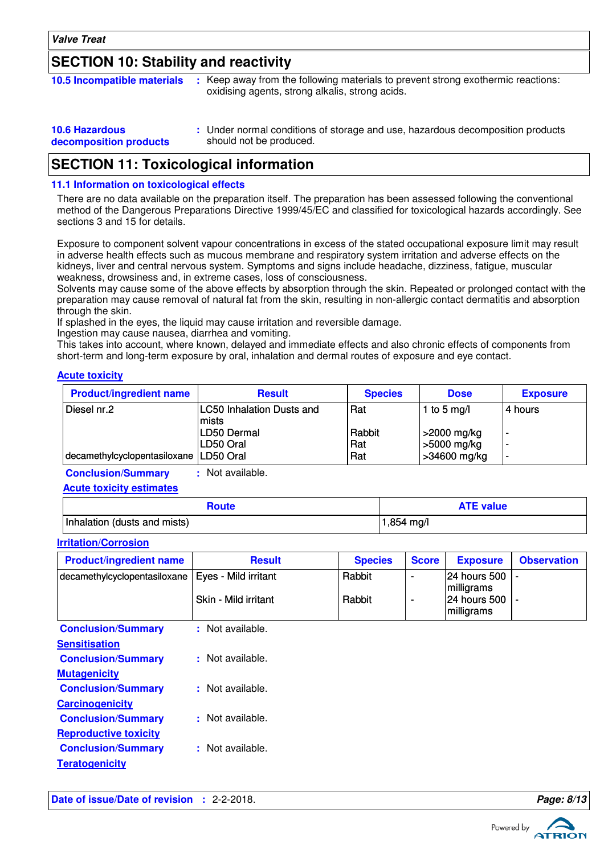## **SECTION 10: Stability and reactivity**

| <b>10.5 Incompatible materials</b> | : Keep away from the following materials to prevent strong exothermic reactions:<br>oxidising agents, strong alkalis, strong acids. |  |
|------------------------------------|-------------------------------------------------------------------------------------------------------------------------------------|--|
|                                    |                                                                                                                                     |  |

| <b>10.6 Hazardous</b>  | : Under normal conditions of storage and use, hazardous decomposition products |
|------------------------|--------------------------------------------------------------------------------|
| decomposition products | should not be produced.                                                        |

## **SECTION 11: Toxicological information**

### **11.1 Information on toxicological effects**

There are no data available on the preparation itself. The preparation has been assessed following the conventional method of the Dangerous Preparations Directive 1999/45/EC and classified for toxicological hazards accordingly. See sections 3 and 15 for details.

Exposure to component solvent vapour concentrations in excess of the stated occupational exposure limit may result in adverse health effects such as mucous membrane and respiratory system irritation and adverse effects on the kidneys, liver and central nervous system. Symptoms and signs include headache, dizziness, fatigue, muscular weakness, drowsiness and, in extreme cases, loss of consciousness.

Solvents may cause some of the above effects by absorption through the skin. Repeated or prolonged contact with the preparation may cause removal of natural fat from the skin, resulting in non-allergic contact dermatitis and absorption through the skin.

If splashed in the eyes, the liquid may cause irritation and reversible damage.

Ingestion may cause nausea, diarrhea and vomiting.

This takes into account, where known, delayed and immediate effects and also chronic effects of components from short-term and long-term exposure by oral, inhalation and dermal routes of exposure and eye contact.

#### **Acute toxicity**

| <b>Product/ingredient name</b>           | <b>Result</b>                             | <b>Species</b> | <b>Dose</b>                | <b>Exposure</b>          |
|------------------------------------------|-------------------------------------------|----------------|----------------------------|--------------------------|
| Diesel nr.2                              | <b>LC50 Inhalation Dusts and</b><br>mists | Rat            | 1 to 5 mg/l                | l4 hours                 |
|                                          | LD50 Dermal<br>LD50 Oral                  | Rabbit<br>Rat  | >2000 mg/kg<br>>5000 mg/kg | $\overline{\phantom{a}}$ |
| decamethylcyclopentasiloxane   LD50 Oral |                                           | Rat            | >34600 mg/kg               | $\overline{\phantom{a}}$ |

**Conclusion/Summary :** Not available.

**Acute toxicity estimates**

| Route                        | <b>ATE value</b> |
|------------------------------|------------------|
| Inhalation (dusts and mists) | ,854 mg/l        |

#### **Irritation/Corrosion**

| <b>Product/ingredient name</b>                      | <b>Result</b>        | <b>Species</b> | <b>Score</b> | <b>Exposure</b>                      | <b>Observation</b> |
|-----------------------------------------------------|----------------------|----------------|--------------|--------------------------------------|--------------------|
| decamethylcyclopentasiloxane   Eyes - Mild irritant |                      | Rabbit         |              | 24 hours 500 -<br><i>Imilligrams</i> |                    |
|                                                     | Skin - Mild irritant | Rabbit         |              | 24 hours 500 -<br>milligrams         |                    |

| <b>Conclusion/Summary</b>    | : Not available. |
|------------------------------|------------------|
| <b>Sensitisation</b>         |                  |
| <b>Conclusion/Summary</b>    | Not available.   |
| <b>Mutagenicity</b>          |                  |
| <b>Conclusion/Summary</b>    | : Not available. |
| <b>Carcinogenicity</b>       |                  |
| <b>Conclusion/Summary</b>    | : Not available. |
| <b>Reproductive toxicity</b> |                  |
| <b>Conclusion/Summary</b>    | : Not available. |
| <b>Teratogenicity</b>        |                  |

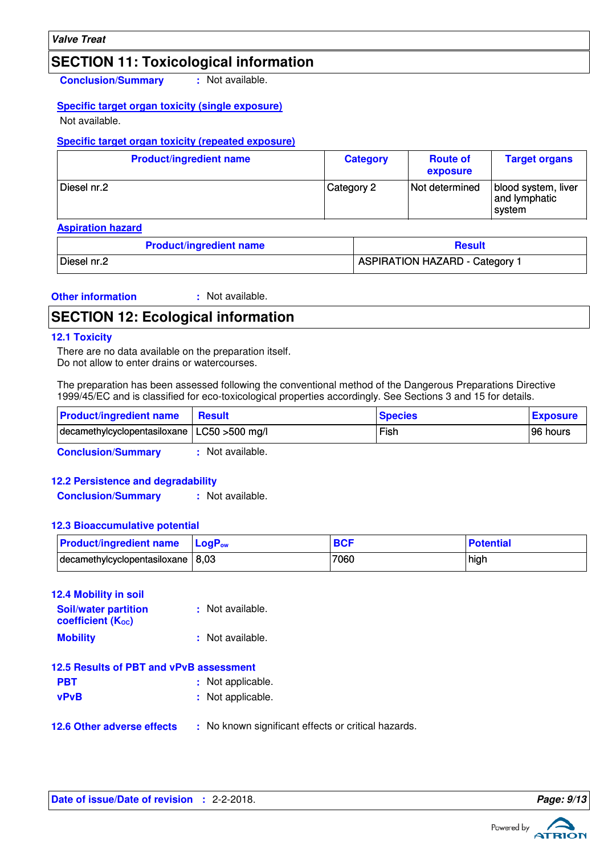## **SECTION 11: Toxicological information**

**Conclusion/Summary :** Not available.

### **Specific target organ toxicity (single exposure)**

Not available.

### **Specific target organ toxicity (repeated exposure)**

| <b>Product/ingredient name</b> | <b>Category</b> | <b>Route of</b><br>exposure | <b>Target organs</b>                           |
|--------------------------------|-----------------|-----------------------------|------------------------------------------------|
| Diesel nr.2                    | Category 2      | Not determined              | blood system, liver<br>and lymphatic<br>svstem |

**Aspiration hazard**

| <b>Product/ingredient name</b> | <b>Result</b>                         |  |
|--------------------------------|---------------------------------------|--|
| Diesel nr.2                    | <b>ASPIRATION HAZARD - Category 1</b> |  |

#### **Other information :** : Not available.

### **SECTION 12: Ecological information**

### **12.1 Toxicity**

There are no data available on the preparation itself. Do not allow to enter drains or watercourses.

The preparation has been assessed following the conventional method of the Dangerous Preparations Directive 1999/45/EC and is classified for eco-toxicological properties accordingly. See Sections 3 and 15 for details.

| <b>Product/ingredient name</b>                 | <b>⊟ Result</b> | <b>Species</b> | <b>Exposure</b> |
|------------------------------------------------|-----------------|----------------|-----------------|
| decamethylcyclopentasiloxane   LC50 > 500 mg/l |                 | Fish           | 96 hours        |

**Conclusion/Summary :** Not available.

### **12.2 Persistence and degradability**

**Conclusion/Summary :** Not available.

### **12.3 Bioaccumulative potential**

| <b>Product/ingredient name</b>      | <b>LogP</b> <sub>ow</sub> | <b>BCF</b> | <b>Potential</b> |
|-------------------------------------|---------------------------|------------|------------------|
| decamethylcyclopentasiloxane   8,03 |                           | 7060       | high             |

| 12.4 Mobility in soil                                   |                                                     |  |  |
|---------------------------------------------------------|-----------------------------------------------------|--|--|
| <b>Soil/water partition</b><br><b>coefficient (Koc)</b> | : Not available.                                    |  |  |
| <b>Mobility</b>                                         | : Not available.                                    |  |  |
| 12.5 Results of PBT and vPvB assessment                 |                                                     |  |  |
| <b>PBT</b>                                              | : Not applicable.                                   |  |  |
| <b>vPvB</b>                                             | : Not applicable.                                   |  |  |
| <b>12.6 Other adverse effects</b>                       | : No known significant effects or critical hazards. |  |  |

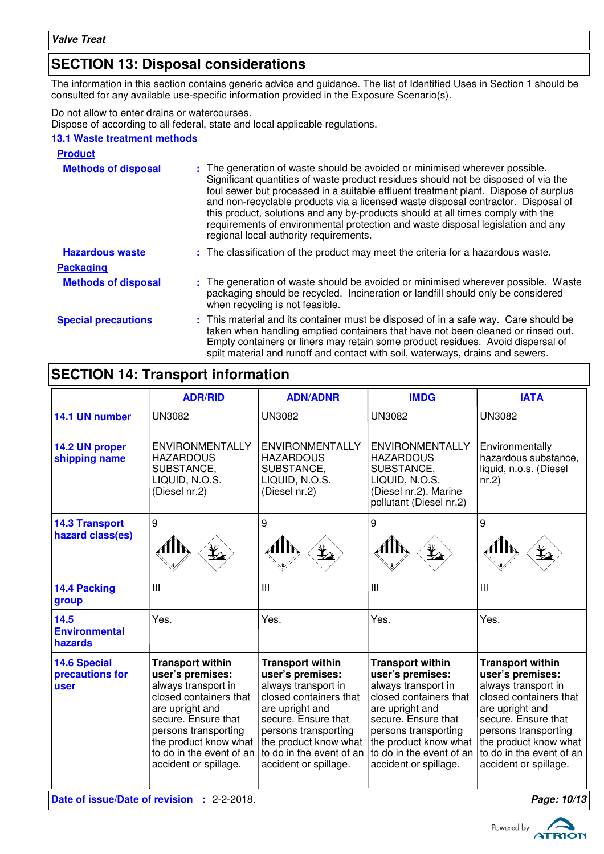## **SECTION 13: Disposal considerations**

The information in this section contains generic advice and guidance. The list of Identified Uses in Section 1 should be consulted for any available use-specific information provided in the Exposure Scenario(s).

Do not allow to enter drains or watercourses.

Dispose of according to all federal, state and local applicable regulations.

### **13.1 Waste treatment methods**

| <b>Product</b>             |                                                                                                                                                                                                                                                                                                                                                                                                                                                                                                                                                               |
|----------------------------|---------------------------------------------------------------------------------------------------------------------------------------------------------------------------------------------------------------------------------------------------------------------------------------------------------------------------------------------------------------------------------------------------------------------------------------------------------------------------------------------------------------------------------------------------------------|
| <b>Methods of disposal</b> | : The generation of waste should be avoided or minimised wherever possible.<br>Significant quantities of waste product residues should not be disposed of via the<br>foul sewer but processed in a suitable effluent treatment plant. Dispose of surplus<br>and non-recyclable products via a licensed waste disposal contractor. Disposal of<br>this product, solutions and any by-products should at all times comply with the<br>requirements of environmental protection and waste disposal legislation and any<br>regional local authority requirements. |
| <b>Hazardous waste</b>     | : The classification of the product may meet the criteria for a hazardous waste.                                                                                                                                                                                                                                                                                                                                                                                                                                                                              |
| <b>Packaging</b>           |                                                                                                                                                                                                                                                                                                                                                                                                                                                                                                                                                               |
| <b>Methods of disposal</b> | : The generation of waste should be avoided or minimised wherever possible. Waste<br>packaging should be recycled. Incineration or landfill should only be considered<br>when recycling is not feasible.                                                                                                                                                                                                                                                                                                                                                      |
| <b>Special precautions</b> | : This material and its container must be disposed of in a safe way. Care should be<br>taken when handling emptied containers that have not been cleaned or rinsed out.<br>Empty containers or liners may retain some product residues. Avoid dispersal of<br>spilt material and runoff and contact with soil, waterways, drains and sewers.                                                                                                                                                                                                                  |

## **SECTION 14: Transport information**

|                                                           | <b>ADR/RID</b>                                                                                                                                                                                                                               | <b>ADN/ADNR</b>                                                                                                                                                                                                                              | <b>IMDG</b>                                                                                                                                                                                                                                  | <b>IATA</b>                                                                                                                                                                                                                                  |
|-----------------------------------------------------------|----------------------------------------------------------------------------------------------------------------------------------------------------------------------------------------------------------------------------------------------|----------------------------------------------------------------------------------------------------------------------------------------------------------------------------------------------------------------------------------------------|----------------------------------------------------------------------------------------------------------------------------------------------------------------------------------------------------------------------------------------------|----------------------------------------------------------------------------------------------------------------------------------------------------------------------------------------------------------------------------------------------|
| 14.1 UN number                                            | <b>UN3082</b>                                                                                                                                                                                                                                | <b>UN3082</b>                                                                                                                                                                                                                                | <b>UN3082</b>                                                                                                                                                                                                                                | <b>UN3082</b>                                                                                                                                                                                                                                |
| 14.2 UN proper<br>shipping name                           | <b>ENVIRONMENTALLY</b><br><b>HAZARDOUS</b><br>SUBSTANCE,<br>LIQUID, N.O.S.<br>(Diesel nr.2)                                                                                                                                                  | <b>ENVIRONMENTALLY</b><br><b>HAZARDOUS</b><br>SUBSTANCE,<br>LIQUID, N.O.S.<br>(Diesel nr.2)                                                                                                                                                  | <b>ENVIRONMENTALLY</b><br><b>HAZARDOUS</b><br>SUBSTANCE,<br>LIQUID, N.O.S.<br>(Diesel nr.2). Marine<br>pollutant (Diesel nr.2)                                                                                                               | Environmentally<br>hazardous substance,<br>liquid, n.o.s. (Diesel<br>nr.2                                                                                                                                                                    |
| <b>14.3 Transport</b><br>hazard class(es)                 | 9                                                                                                                                                                                                                                            | 9                                                                                                                                                                                                                                            | 9                                                                                                                                                                                                                                            | 9                                                                                                                                                                                                                                            |
| 14.4 Packing<br>group                                     | III                                                                                                                                                                                                                                          | III                                                                                                                                                                                                                                          | III                                                                                                                                                                                                                                          | Ш                                                                                                                                                                                                                                            |
| 14.5<br><b>Environmental</b><br>hazards                   | Yes.                                                                                                                                                                                                                                         | Yes.                                                                                                                                                                                                                                         | Yes.                                                                                                                                                                                                                                         | Yes.                                                                                                                                                                                                                                         |
| <b>14.6 Special</b><br>precautions for<br>user            | <b>Transport within</b><br>user's premises:<br>always transport in<br>closed containers that<br>are upright and<br>secure. Ensure that<br>persons transporting<br>the product know what<br>to do in the event of an<br>accident or spillage. | <b>Transport within</b><br>user's premises:<br>always transport in<br>closed containers that<br>are upright and<br>secure. Ensure that<br>persons transporting<br>the product know what<br>to do in the event of an<br>accident or spillage. | <b>Transport within</b><br>user's premises:<br>always transport in<br>closed containers that<br>are upright and<br>secure. Ensure that<br>persons transporting<br>the product know what<br>to do in the event of an<br>accident or spillage. | <b>Transport within</b><br>user's premises:<br>always transport in<br>closed containers that<br>are upright and<br>secure. Ensure that<br>persons transporting<br>the product know what<br>to do in the event of an<br>accident or spillage. |
| Date of issue/Date of revision : 2-2-2018.<br>Page: 10/13 |                                                                                                                                                                                                                                              |                                                                                                                                                                                                                                              |                                                                                                                                                                                                                                              |                                                                                                                                                                                                                                              |

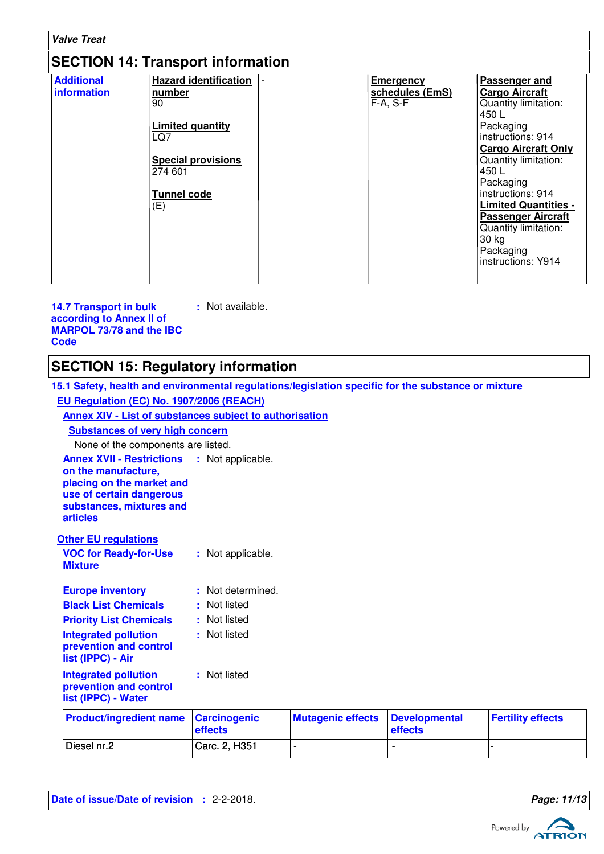| <b>Valve Treat</b>               |                                                                                                                                              |  |                                                   |                                                                                                                                                                                                                                                                                                                                           |
|----------------------------------|----------------------------------------------------------------------------------------------------------------------------------------------|--|---------------------------------------------------|-------------------------------------------------------------------------------------------------------------------------------------------------------------------------------------------------------------------------------------------------------------------------------------------------------------------------------------------|
|                                  | <b>SECTION 14: Transport information</b>                                                                                                     |  |                                                   |                                                                                                                                                                                                                                                                                                                                           |
| <b>Additional</b><br>information | <b>Hazard identification</b><br>number<br>90<br>Limited quantity<br>LQ7<br><b>Special provisions</b><br>274 601<br><b>Tunnel code</b><br>(E) |  | <b>Emergency</b><br>schedules (EmS)<br>$F-A, S-F$ | Passenger and<br><b>Cargo Aircraft</b><br>Quantity limitation:<br>450L<br>Packaging<br>instructions: 914<br><b>Cargo Aircraft Only</b><br>Quantity limitation:<br>450 L<br>Packaging<br>instructions: 914<br><b>Limited Quantities -</b><br><b>Passenger Aircraft</b><br>Quantity limitation:<br>30 kg<br>Packaging<br>instructions: Y914 |

**14.7 Transport in bulk according to Annex II of MARPOL 73/78 and the IBC Code :** Not available.

## **SECTION 15: Regulatory information**

| 15.1 Safety, health and environmental regulations/legislation specific for the substance or mixture                                                                               |                                                         |                          |                                 |                          |  |
|-----------------------------------------------------------------------------------------------------------------------------------------------------------------------------------|---------------------------------------------------------|--------------------------|---------------------------------|--------------------------|--|
| EU Regulation (EC) No. 1907/2006 (REACH)                                                                                                                                          |                                                         |                          |                                 |                          |  |
|                                                                                                                                                                                   | Annex XIV - List of substances subject to authorisation |                          |                                 |                          |  |
| <b>Substances of very high concern</b>                                                                                                                                            |                                                         |                          |                                 |                          |  |
| None of the components are listed.                                                                                                                                                |                                                         |                          |                                 |                          |  |
| <b>Annex XVII - Restrictions : Not applicable.</b><br>on the manufacture,<br>placing on the market and<br>use of certain dangerous<br>substances, mixtures and<br><b>articles</b> |                                                         |                          |                                 |                          |  |
| <b>Other EU regulations</b>                                                                                                                                                       |                                                         |                          |                                 |                          |  |
| <b>VOC for Ready-for-Use</b><br><b>Mixture</b>                                                                                                                                    | : Not applicable.                                       |                          |                                 |                          |  |
| <b>Europe inventory</b>                                                                                                                                                           | : Not determined.                                       |                          |                                 |                          |  |
| <b>Black List Chemicals</b>                                                                                                                                                       | : Not listed                                            |                          |                                 |                          |  |
| <b>Priority List Chemicals</b>                                                                                                                                                    | : Not listed                                            |                          |                                 |                          |  |
| <b>Integrated pollution</b><br>prevention and control<br>list (IPPC) - Air                                                                                                        | : Not listed                                            |                          |                                 |                          |  |
| <b>Integrated pollution</b><br>prevention and control<br>list (IPPC) - Water                                                                                                      | : Not listed                                            |                          |                                 |                          |  |
| <b>Product/ingredient name</b>                                                                                                                                                    | <b>Carcinogenic</b><br>effects                          | <b>Mutagenic effects</b> | <b>Developmental</b><br>effects | <b>Fertility effects</b> |  |
| Diesel nr.2                                                                                                                                                                       | Carc. 2, H351                                           | $\blacksquare$           |                                 |                          |  |

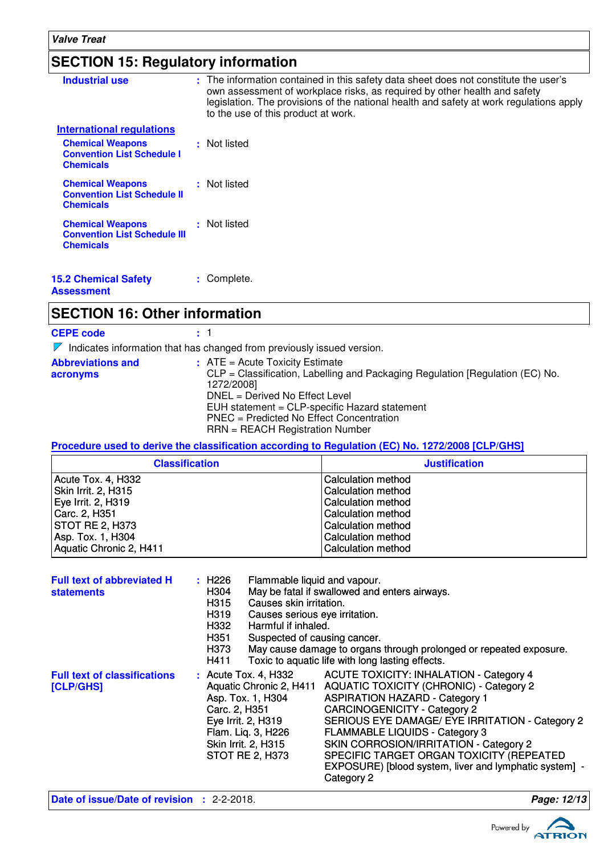## **SECTION 15: Regulatory information**

| <b>Industrial use</b>                                                              | : The information contained in this safety data sheet does not constitute the user's<br>own assessment of workplace risks, as required by other health and safety<br>legislation. The provisions of the national health and safety at work regulations apply<br>to the use of this product at work. |
|------------------------------------------------------------------------------------|-----------------------------------------------------------------------------------------------------------------------------------------------------------------------------------------------------------------------------------------------------------------------------------------------------|
| International regulations                                                          |                                                                                                                                                                                                                                                                                                     |
| <b>Chemical Weapons</b><br><b>Convention List Schedule I</b><br><b>Chemicals</b>   | : Not listed                                                                                                                                                                                                                                                                                        |
| <b>Chemical Weapons</b><br><b>Convention List Schedule II</b><br><b>Chemicals</b>  | : Not listed                                                                                                                                                                                                                                                                                        |
| <b>Chemical Weapons</b><br><b>Convention List Schedule III</b><br><b>Chemicals</b> | : Not listed                                                                                                                                                                                                                                                                                        |
| <b>15.2 Chemical Safety</b><br>Assessment                                          | Complete.                                                                                                                                                                                                                                                                                           |

## **SECTION 16: Other information**

| <b>CEPE code</b>                     | : 1                                                                                                                                                                                                                                                                                                  |
|--------------------------------------|------------------------------------------------------------------------------------------------------------------------------------------------------------------------------------------------------------------------------------------------------------------------------------------------------|
|                                      | $\nabla$ Indicates information that has changed from previously issued version.                                                                                                                                                                                                                      |
| <b>Abbreviations and</b><br>acronyms | $:$ ATE = Acute Toxicity Estimate<br>CLP = Classification, Labelling and Packaging Regulation [Regulation (EC) No.<br>1272/2008]<br>$DNEL = Derived No Effect Level$<br>EUH statement = CLP-specific Hazard statement<br>PNEC = Predicted No Effect Concentration<br>RRN = REACH Registration Number |

**Procedure used to derive the classification according to Regulation (EC) No. 1272/2008 [CLP/GHS]**

| <b>Classification</b>   | <b>Justification</b> |
|-------------------------|----------------------|
| Acute Tox. 4, H332      | Calculation method   |
| Skin Irrit. 2, H315     | Calculation method   |
| Eye Irrit. 2, H319      | Calculation method   |
| Carc. 2, H351           | Calculation method   |
| <b>STOT RE 2, H373</b>  | Calculation method   |
| Asp. Tox. 1, H304       | Calculation method   |
| Aquatic Chronic 2, H411 | Calculation method   |

| <b>Full text of abbreviated H</b><br><b>statements</b> | Flammable liquid and vapour.<br>: H226<br>H304<br>Causes skin irritation.<br>H315<br>H319<br>Causes serious eye irritation.<br>Harmful if inhaled.<br>H332<br>H351<br>Suspected of causing cancer.<br>H373<br>H411 | May be fatal if swallowed and enters airways.<br>May cause damage to organs through prolonged or repeated exposure.<br>Toxic to aquatic life with long lasting effects.                                                                                                                                                                                                                                                                    |
|--------------------------------------------------------|--------------------------------------------------------------------------------------------------------------------------------------------------------------------------------------------------------------------|--------------------------------------------------------------------------------------------------------------------------------------------------------------------------------------------------------------------------------------------------------------------------------------------------------------------------------------------------------------------------------------------------------------------------------------------|
| <b>Full text of classifications</b><br>[CLP/GHS]       | $:$ Acute Tox. 4, H332<br>Aquatic Chronic 2, H411<br>Asp. Tox. 1, H304<br>Carc. 2, H351<br>Eye Irrit. 2, H319<br>Flam. Lig. 3, H226<br>Skin Irrit. 2, H315<br><b>STOT RE 2, H373</b>                               | <b>ACUTE TOXICITY: INHALATION - Category 4</b><br><b>AQUATIC TOXICITY (CHRONIC) - Category 2</b><br><b>ASPIRATION HAZARD - Category 1</b><br><b>CARCINOGENICITY - Category 2</b><br>SERIOUS EYE DAMAGE/ EYE IRRITATION - Category 2<br><b>FLAMMABLE LIQUIDS - Category 3</b><br>SKIN CORROSION/IRRITATION - Category 2<br>SPECIFIC TARGET ORGAN TOXICITY (REPEATED<br>EXPOSURE) [blood system, liver and lymphatic system] -<br>Category 2 |
| <b>Date of issue/Date of revision : 2-2-2018.</b>      |                                                                                                                                                                                                                    | Page: 12/13                                                                                                                                                                                                                                                                                                                                                                                                                                |